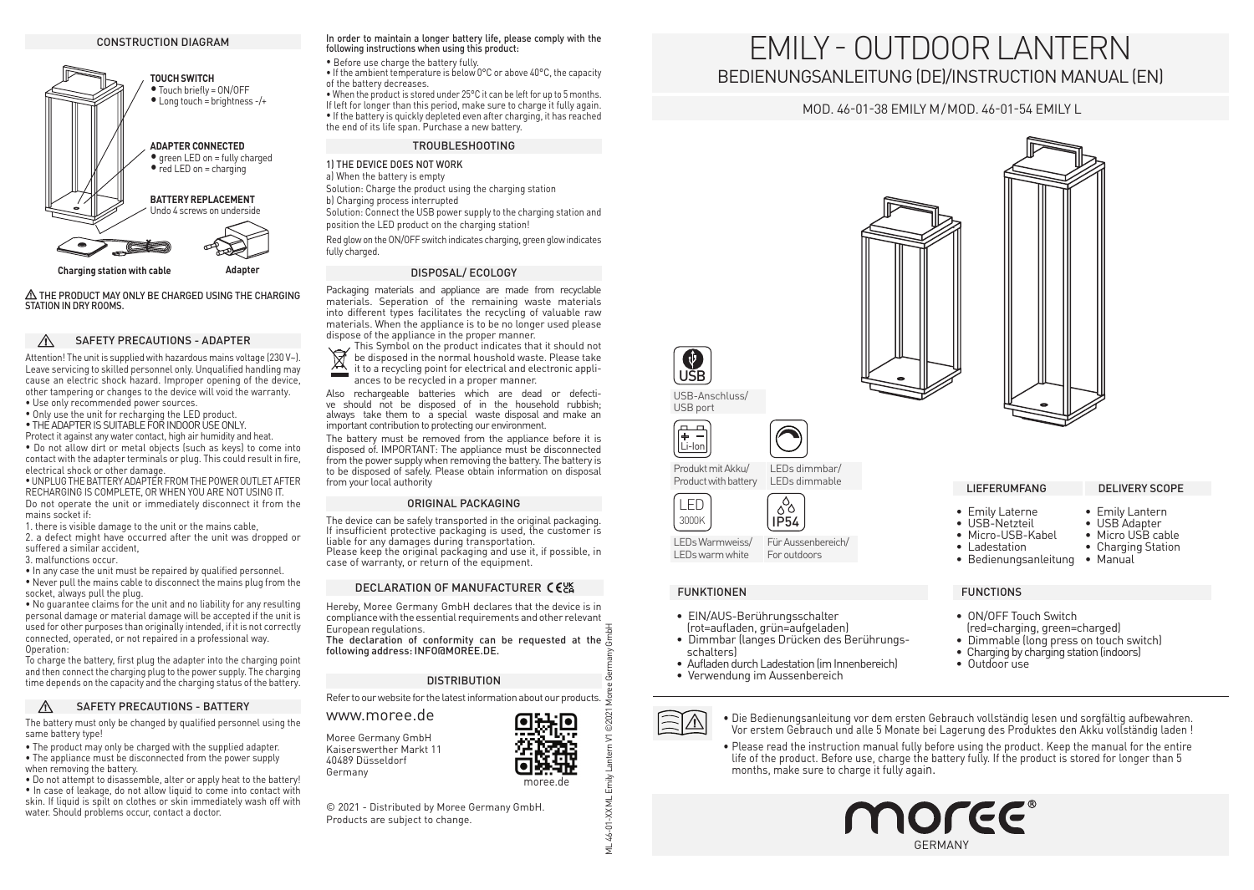### CONSTRUCTION DIAGRAM



 THE PRODUCT MAY ONLY BE CHARGED USING THE CHARGING STATION IN DRY ROOMS.

### $\wedge$ SAFETY PRECAUTIONS - ADAPTER

Attention! The unit is supplied with hazardous mains voltage (230 V~). Leave servicing to skilled personnel only. Unqualified handling may cause an electric shock hazard. Improper opening of the device, other tampering or changes to the device will void the warranty. • Use only recommended power sources.

• Only use the unit for recharging the LED product.

• THE ADAPTER IS SUITABLE FOR INDOOR USE ONLY.

Protect it against any water contact, high air humidity and heat.

• Do not allow dirt or metal objects (such as keys) to come into contact with the adapter terminals or plug. This could result in fire, electrical shock or other damage.

•Unplugthebattery adapter from thepower outlet after recharging is complete, or when you are not using it. Do not operate the unit or immediately disconnect it from the

mains socket if: 1. there is visible damage to the unit or the mains cable,

- 2. a defect might have occurred after the unit was dropped or
- suffered a similar accident,
- 3. malfunctions occur.

• In any case the unit must be repaired by qualified personnel. • Never pull the mains cable to disconnect the mains plug from the socket, always pull the plug.

• No guarantee claims for the unit and no liability for any resulting personal damage or material damage will be accepted if the unit is used for other purposes than originally intended, if it is not correctly connected, operated, or not repaired in a professional way. Operation:

To charge the battery, first plug the adapter into the charging point and then connect the charging plug to the power supply. The charging time depends on the capacity and the charging status of the battery.

### SAFETY PRECAUTIONS - BATTERY

The battery must only be changed by qualified personnel using the same battery type!

• The product may only be charged with the supplied adapter. • The appliance must be disconnected from the power supply when removing the battery.

• Do not attempt to disassemble, alter or apply heat to the battery! • In case of leakage, do not allow liquid to come into contact with skin. If liquid is spilt on clothes or skin immediately wash off with water. Should problems occur, contact a doctor.

### In order to maintain a longer battery life, please comply with the following instructions when using this product:

• Before use charge the battery fully.

• If the ambient temperature is below 0°C or above 40°C, the capacity of the battery decreases.

• When the product is stored under 25°C it can be left for up to 5 months. If left for longer than this period, make sure to charge it fully again. • If the battery is quickly depleted even after charging, it has reached the end of its life span. Purchase a new battery.

### TROUBLESHOOTING

1) THE DEVICE DOES NOT WORK

a) When the battery is empty Solution: Charge the product using the charging station b) Charging process interrupted

Solution: Connect the USB power supply to the charging station and position the LED product on the charging station!

Red glow on the ON/OFF switch indicates charging, green glow indicates fully charged.

### DISPOSAL/ ECOLOGY

Packaging materials and appliance are made from recyclable materials. Seperation of the remaining waste materials into different types facilitates the recycling of valuable raw materials. When the appliance is to be no longer used please dispose of the appliance in the proper manner.

This Symbol on the product indicates that it should not  $\boxtimes$ be disposed in the normal houshold waste. Please take it to a recycling point for electrical and electronic appli- $\overline{\phantom{a}}$ 

ances to be recycled in a proper manner.

Also rechargeable batteries which are dead or defective should not be disposed of in the household rubbish; always take them to a special waste disposal and make an important contribution to protecting our environment.

The battery must be removed from the appliance before it is disposed of. IMPORTANT: The appliance must be disconnected from the power supply when removing the battery. The battery is to be disposed of safely. Please obtain information on disposal from your local authority

### ORIGINAL PACKAGING

The device can be safely transported in the original packaging. If insufficient protective packaging is used, the customer is liable for any damages during transportation. Please keep the original packaging and use it, if possible, in case of warranty, or return of the equipment.

### DECLARATION OF MANUFACTURER CELA

Hereby, Moree Germany GmbH declares that the device is in compliance with the essential requirements and other relevant European regulations.

The declaration of conformity can be requested at the following address: INFO@MOREE.DE.

### **DISTRIBUTION**

Refer to our website for the latest information about our products.  $\tilde{\epsilon}$ 

www.moree.de Moree Germany GmbH

Kaiserswerther Markt 11 40489 Düsseldorf Germany

moree.de

© 2021 - Distributed by Moree Germany GmbH. Products are subject to change.

# EMILY - Outdoor Lantern Bedienungsanleitung (DE)/Instruction Manual (EN)

## Mod. 46-01-38 Emily M/Mod. 46-01-54 Emily L



• ON/OFF Touch Switch

• Outdoor use

(red=charging, green=charged) • Dimmable (long press on touch switch) • Charging by charging station (indoors)

## FUNKTIONEN FUNCTIONS

LEDs Warmweiss/ LEDs warm white

3000K LED

Li-Ion Produkt mit Akku/ Product with battery

(무 금

USB USB-Anschluss/ USB port

 $\mathbf \Omega$ 

- EIN/AUS-Berührungsschalter (rot=aufladen, grün=aufgeladen)
- Dimmbar (langes Drücken des Berührungsschalters)

IP54

 $\delta^{\circ}$ 

For outdoors

LEDs dimmbar/ LEDs dimmable

- Aufladen durch Ladestation (im Innenbereich)
- Verwendung im Aussenbereich



- Die Bedienungsanleitung vor dem ersten Gebrauch vollständig lesen und sorgfältig aufbewahren. Vor erstem Gebrauch und alle 5 Monate bei Lagerung des Produktes den Akku vollständig laden !
- Please read the instruction manual fully before using the product. Keep the manual for the entire life of the product. Before use, charge the battery fully. If the product is stored for longer than 5 months, make sure to charge it fully again.





Emily  $\preceq$ 

 $\overline{X}$ Ė 44-1  $\frac{1}{2}$